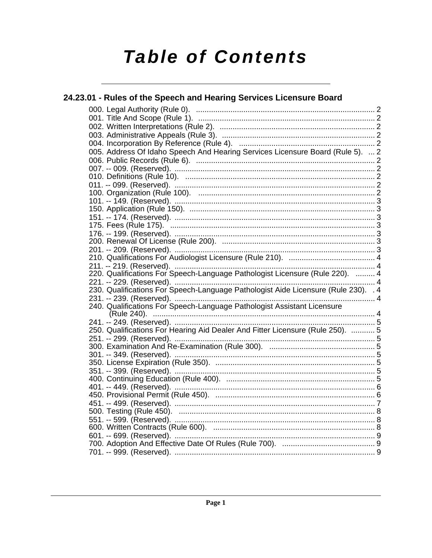# **Table of Contents**

| 24.23.01 - Rules of the Speech and Hearing Services Licensure Board                |  |  |  |  |
|------------------------------------------------------------------------------------|--|--|--|--|
|                                                                                    |  |  |  |  |
|                                                                                    |  |  |  |  |
|                                                                                    |  |  |  |  |
|                                                                                    |  |  |  |  |
|                                                                                    |  |  |  |  |
| 005. Address Of Idaho Speech And Hearing Services Licensure Board (Rule 5).  2     |  |  |  |  |
|                                                                                    |  |  |  |  |
|                                                                                    |  |  |  |  |
|                                                                                    |  |  |  |  |
|                                                                                    |  |  |  |  |
|                                                                                    |  |  |  |  |
|                                                                                    |  |  |  |  |
|                                                                                    |  |  |  |  |
|                                                                                    |  |  |  |  |
|                                                                                    |  |  |  |  |
|                                                                                    |  |  |  |  |
|                                                                                    |  |  |  |  |
|                                                                                    |  |  |  |  |
|                                                                                    |  |  |  |  |
| 220. Qualifications For Speech-Language Pathologist Licensure (Rule 220).  4       |  |  |  |  |
|                                                                                    |  |  |  |  |
| 230. Qualifications For Speech-Language Pathologist Aide Licensure (Rule 230). . 4 |  |  |  |  |
|                                                                                    |  |  |  |  |
|                                                                                    |  |  |  |  |
|                                                                                    |  |  |  |  |
|                                                                                    |  |  |  |  |
| 250. Qualifications For Hearing Aid Dealer And Fitter Licensure (Rule 250).  5     |  |  |  |  |
|                                                                                    |  |  |  |  |
|                                                                                    |  |  |  |  |
|                                                                                    |  |  |  |  |
|                                                                                    |  |  |  |  |
|                                                                                    |  |  |  |  |
|                                                                                    |  |  |  |  |
|                                                                                    |  |  |  |  |
|                                                                                    |  |  |  |  |
|                                                                                    |  |  |  |  |
|                                                                                    |  |  |  |  |
|                                                                                    |  |  |  |  |
|                                                                                    |  |  |  |  |
|                                                                                    |  |  |  |  |
|                                                                                    |  |  |  |  |
|                                                                                    |  |  |  |  |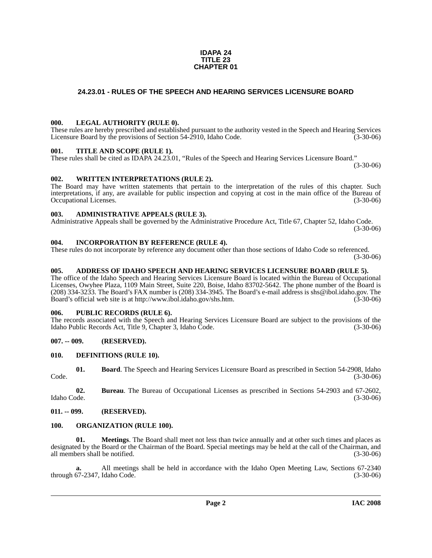#### **IDAPA 24 TITLE 23 CHAPTER 01**

### <span id="page-1-0"></span>**24.23.01 - RULES OF THE SPEECH AND HEARING SERVICES LICENSURE BOARD**

#### <span id="page-1-1"></span>**000. LEGAL AUTHORITY (RULE 0).**

These rules are hereby prescribed and established pursuant to the authority vested in the Speech and Hearing Services Licensure Board by the provisions of Section 54-2910, Idaho Code. (3-30-06)

#### <span id="page-1-2"></span>**001. TITLE AND SCOPE (RULE 1).**

These rules shall be cited as IDAPA 24.23.01, "Rules of the Speech and Hearing Services Licensure Board."

(3-30-06)

#### <span id="page-1-3"></span>**002. WRITTEN INTERPRETATIONS (RULE 2).**

The Board may have written statements that pertain to the interpretation of the rules of this chapter. Such interpretations, if any, are available for public inspection and copying at cost in the main office of the Bureau of Occupational Licenses. (3-30-06)

#### <span id="page-1-4"></span>**003. ADMINISTRATIVE APPEALS (RULE 3).**

Administrative Appeals shall be governed by the Administrative Procedure Act, Title 67, Chapter 52, Idaho Code. (3-30-06)

#### <span id="page-1-5"></span>**004. INCORPORATION BY REFERENCE (RULE 4).**

These rules do not incorporate by reference any document other than those sections of Idaho Code so referenced. (3-30-06)

#### <span id="page-1-6"></span>**005. ADDRESS OF IDAHO SPEECH AND HEARING SERVICES LICENSURE BOARD (RULE 5).**

[The office of the Idaho Speech and Hearing Services Licensure Board is located within the Bureau of Occupational](mailto:shs@ibol.idaho.gov)  Licenses, Owyhee Plaza, 1109 Main Street, Suite 220, Boise, Idaho 83702-5642. The phone number of the Board is (208) 334-3233. The Board's FAX number is (208) 334-3945. The Board's e-mail address is shs@ibol.idaho.gov. The [Board's official web site is at](mailto:shs@ibol.idaho.gov) [http://www.ibol.idaho.gov/shs.htm. \(3-30-06\)](http://www.ibol.idaho.gov/shs.htm)

#### <span id="page-1-7"></span>**006. PUBLIC RECORDS (RULE 6).**

The records associated with the Speech and Hearing Services Licensure Board are subject to the provisions of the Idaho Public Records Act, Title 9, Chapter 3, Idaho Code. (3-30-06)

#### <span id="page-1-8"></span>**007. -- 009. (RESERVED).**

#### <span id="page-1-14"></span><span id="page-1-9"></span>**010. DEFINITIONS (RULE 10).**

<span id="page-1-12"></span>**01. Board**. The Speech and Hearing Services Licensure Board as prescribed in Section 54-2908, Idaho Code. (3-30-06)

<span id="page-1-13"></span>**02. Bureau**. The Bureau of Occupational Licenses as prescribed in Sections 54-2903 and 67-2602, Idaho Code. (3-30-06)

#### <span id="page-1-10"></span>**011. -- 099. (RESERVED).**

#### <span id="page-1-16"></span><span id="page-1-11"></span>**100. ORGANIZATION (RULE 100).**

<span id="page-1-15"></span>**01. Meetings**. The Board shall meet not less than twice annually and at other such times and places as designated by the Board or the Chairman of the Board. Special meetings may be held at the call of the Chairman, and all members shall be notified. (3-30-06)

**a.** All meetings shall be held in accordance with the Idaho Open Meeting Law, Sections 67-2340 through 67-2347, Idaho Code. (3-30-06)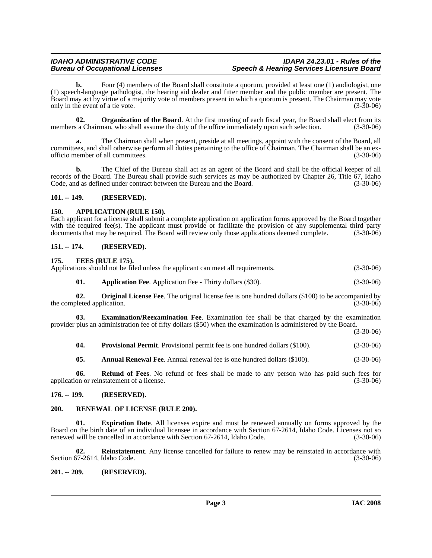#### *IDAHO ADMINISTRATIVE CODE IDAPA 24.23.01 - Rules of the* **Speech & Hearing Services Licensure Board**

**b.** Four (4) members of the Board shall constitute a quorum, provided at least one (1) audiologist, one (1) speech-language pathologist, the hearing aid dealer and fitter member and the public member are present. The Board may act by virtue of a majority vote of members present in which a quorum is present. The Chairman may vote only in the event of a tie vote.

<span id="page-2-13"></span>**02. Organization of the Board**. At the first meeting of each fiscal year, the Board shall elect from its a Chairman, who shall assume the duty of the office immediately upon such selection. (3-30-06) members a Chairman, who shall assume the duty of the office immediately upon such selection.

**a.** The Chairman shall when present, preside at all meetings, appoint with the consent of the Board, all committees, and shall otherwise perform all duties pertaining to the office of Chairman. The Chairman shall be an exofficio member of all committees. (3-30-06)

**b.** The Chief of the Bureau shall act as an agent of the Board and shall be the official keeper of all records of the Board. The Bureau shall provide such services as may be authorized by Chapter 26, Title 67, Idaho Code, and as defined under contract between the Bureau and the Board. (3-30-06)

#### <span id="page-2-0"></span>**101. -- 149. (RESERVED).**

### <span id="page-2-8"></span><span id="page-2-1"></span>**150. APPLICATION (RULE 150).**

Each applicant for a license shall submit a complete application on application forms approved by the Board together with the required fee(s). The applicant must provide or facilitate the provision of any supplemental third party documents that may be required. The Board will review only those applications deemed complete. (3-30-06) documents that may be required. The Board will review only those applications deemed complete.

### <span id="page-2-2"></span>**151. -- 174. (RESERVED).**

### <span id="page-2-12"></span><span id="page-2-3"></span>**175. FEES (RULE 175).**

<span id="page-2-9"></span>

|     | Applications should not be filed unless the applicant can meet all requirements. | $(3-30-06)$ |
|-----|----------------------------------------------------------------------------------|-------------|
| 01. | <b>Application Fee.</b> Application Fee - Thirty dollars (\$30).                 | $(3-30-06)$ |

<span id="page-2-14"></span>**02. Original License Fee**. The original license fee is one hundred dollars (\$100) to be accompanied by the completed application. (3-30-06)

**03. Examination/Reexamination Fee**. Examination fee shall be that charged by the examination provider plus an administration fee of fifty dollars (\$50) when the examination is administered by the Board.

(3-30-06)

<span id="page-2-15"></span><span id="page-2-10"></span>**04. Provisional Permit**. Provisional permit fee is one hundred dollars (\$100). (3-30-06)

<span id="page-2-16"></span><span id="page-2-7"></span>**05. Annual Renewal Fee**. Annual renewal fee is one hundred dollars (\$100). (3-30-06)

**06. Refund of Fees**. No refund of fees shall be made to any person who has paid such fees for application or reinstatement of a license. (3-30-06)

#### <span id="page-2-4"></span>**176. -- 199. (RESERVED).**

#### <span id="page-2-5"></span>**200. RENEWAL OF LICENSE (RULE 200).**

<span id="page-2-11"></span>**01. Expiration Date**. All licenses expire and must be renewed annually on forms approved by the Board on the birth date of an individual licensee in accordance with Section 67-2614, Idaho Code. Licenses not so renewed will be cancelled in accordance with Section 67-2614, Idaho Code. (3-30-06)

<span id="page-2-17"></span>**02. Reinstatement**. Any license cancelled for failure to renew may be reinstated in accordance with Section 67-2614, Idaho Code. (3-30-06)

#### <span id="page-2-6"></span>**201. -- 209. (RESERVED).**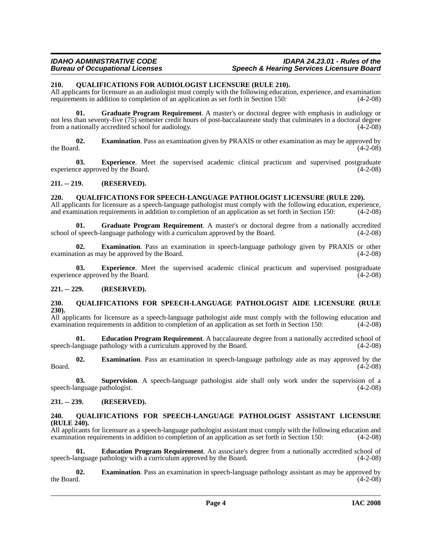#### *IDAHO ADMINISTRATIVE CODE IDAPA 24.23.01 - Rules of the* **Speech & Hearing Services Licensure Board**

#### <span id="page-3-7"></span><span id="page-3-0"></span>**210. QUALIFICATIONS FOR AUDIOLOGIST LICENSURE (RULE 210).**

All applicants for licensure as an audiologist must comply with the following education, experience, and examination requirements in addition to completion of an application as set forth in Section 150: (4-2-08) requirements in addition to completion of an application as set forth in Section 150:

**01. Graduate Program Requirement**. A master's or doctoral degree with emphasis in audiology or not less than seventy-five (75) semester credit hours of post-baccalaureate study that culminates in a doctoral degree<br>from a nationally accredited school for audiology. from a nationally accredited school for audiology.

<span id="page-3-8"></span>**02. Examination**. Pass an examination given by PRAXIS or other examination as may be approved by the Board. (4-2-08) the Board.  $(4-2-08)$ 

<span id="page-3-9"></span>**03. Experience**. Meet the supervised academic clinical practicum and supervised postgraduate ce approved by the Board. (4-2-08) experience approved by the Board.

<span id="page-3-1"></span>**211. -- 219. (RESERVED).**

#### <span id="page-3-12"></span><span id="page-3-2"></span>**220. QUALIFICATIONS FOR SPEECH-LANGUAGE PATHOLOGIST LICENSURE (RULE 220).**

All applicants for licensure as a speech-language pathologist must comply with the following education, experience, and examination requirements in addition to completion of an application as set forth in Section 150: (4-2-08)

**01.** Graduate Program Requirement. A master's or doctoral degree from a nationally accredited speech-language pathology with a curriculum approved by the Board. (4-2-08) school of speech-language pathology with a curriculum approved by the Board.

**02. Examination**. Pass an examination in speech-language pathology given by PRAXIS or other examination as may be approved by the Board. (4-2-08)

**03. Experience**. Meet the supervised academic clinical practicum and supervised postgraduate ce approved by the Board. (4-2-08) experience approved by the Board.

#### <span id="page-3-3"></span>**221. -- 229. (RESERVED).**

#### <span id="page-3-10"></span><span id="page-3-4"></span>**230. QUALIFICATIONS FOR SPEECH-LANGUAGE PATHOLOGIST AIDE LICENSURE (RULE 230).**

All applicants for licensure as a speech-language pathologist aide must comply with the following education and examination requirements in addition to completion of an application as set forth in Section 150: (4-2-08) examination requirements in addition to completion of an application as set forth in Section 150:

**Education Program Requirement**. A baccalaureate degree from a nationally accredited school of speech-language pathology with a curriculum approved by the Board. (4-2-08)

**02. Examination**. Pass an examination in speech-language pathology aide as may approved by the  $(4-2-08)$  $\beta$ Board. (4-2-08)

**03. Supervision**. A speech-language pathologist aide shall only work under the supervision of a speech-language pathologist. (4-2-08)

#### <span id="page-3-5"></span>**231. -- 239. (RESERVED).**

#### <span id="page-3-11"></span><span id="page-3-6"></span>**240. QUALIFICATIONS FOR SPEECH-LANGUAGE PATHOLOGIST ASSISTANT LICENSURE (RULE 240).**

All applicants for licensure as a speech-language pathologist assistant must comply with the following education and examination requirements in addition to completion of an application as set forth in Section 150: (4-2-08)

**01. Education Program Requirement**. An associate's degree from a nationally accredited school of speech-language pathology with a curriculum approved by the Board. (4-2-08)

**02. Examination**. Pass an examination in speech-language pathology assistant as may be approved by the Board.  $(4-2-08)$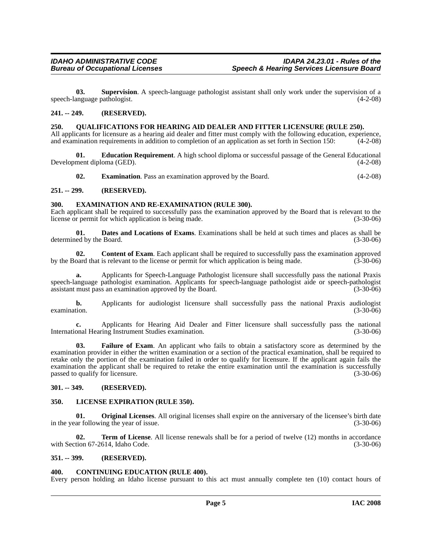**03. Supervision**. A speech-language pathologist assistant shall only work under the supervision of a speech-language pathologist. (4-2-08)

#### <span id="page-4-0"></span>**241. -- 249. (RESERVED).**

#### <span id="page-4-1"></span>**250. QUALIFICATIONS FOR HEARING AID DEALER AND FITTER LICENSURE (RULE 250).**

All applicants for licensure as a hearing aid dealer and fitter must comply with the following education, experience, and examination requirements in addition to completion of an application as set forth in Section 150: (4-2-08)

**01. Education Requirement**. A high school diploma or successful passage of the General Educational Development diploma (GED). (4-2-08)

<span id="page-4-15"></span><span id="page-4-13"></span><span id="page-4-12"></span><span id="page-4-11"></span>**02. Examination**. Pass an examination approved by the Board. (4-2-08)

#### <span id="page-4-2"></span>**251. -- 299. (RESERVED).**

#### <span id="page-4-3"></span>**300. EXAMINATION AND RE-EXAMINATION (RULE 300).**

Each applicant shall be required to successfully pass the examination approved by the Board that is relevant to the license or permit for which application is being made. (3-30-06)

<span id="page-4-10"></span>**01. Dates and Locations of Exams**. Examinations shall be held at such times and places as shall be ed by the Board. (3-30-06) determined by the Board.

<span id="page-4-8"></span>**02. Content of Exam**. Each applicant shall be required to successfully pass the examination approved pard that is relevant to the license or permit for which application is being made. (3-30-06) by the Board that is relevant to the license or permit for which application is being made.

**a.** Applicants for Speech-Language Pathologist licensure shall successfully pass the national Praxis speech-language pathologist examination. Applicants for speech-language pathologist aide or speech-pathologist assistant must pass an examination approved by the Board. (3-30-06)

**b.** Applicants for audiologist licensure shall successfully pass the national Praxis audiologist examination. (3-30-06)

**c.** Applicants for Hearing Aid Dealer and Fitter licensure shall successfully pass the national International Hearing Instrument Studies examination. (3-30-06)

<span id="page-4-14"></span>**03. Failure of Exam**. An applicant who fails to obtain a satisfactory score as determined by the examination provider in either the written examination or a section of the practical examination, shall be required to retake only the portion of the examination failed in order to qualify for licensure. If the applicant again fails the examination the applicant shall be required to retake the entire examination until the examination is successfully passed to qualify for licensure. (3-30-06)

#### <span id="page-4-4"></span>**301. -- 349. (RESERVED).**

#### <span id="page-4-16"></span><span id="page-4-5"></span>**350. LICENSE EXPIRATION (RULE 350).**

<span id="page-4-17"></span>**01. Original Licenses**. All original licenses shall expire on the anniversary of the licensee's birth date ar following the year of issue. (3-30-06) in the year following the year of issue.

<span id="page-4-18"></span>**02. Term of License**. All license renewals shall be for a period of twelve (12) months in accordance with Section 67-2614, Idaho Code. (3-30-06)

#### <span id="page-4-6"></span>**351. -- 399. (RESERVED).**

#### <span id="page-4-9"></span><span id="page-4-7"></span>**400. CONTINUING EDUCATION (RULE 400).**

Every person holding an Idaho license pursuant to this act must annually complete ten (10) contact hours of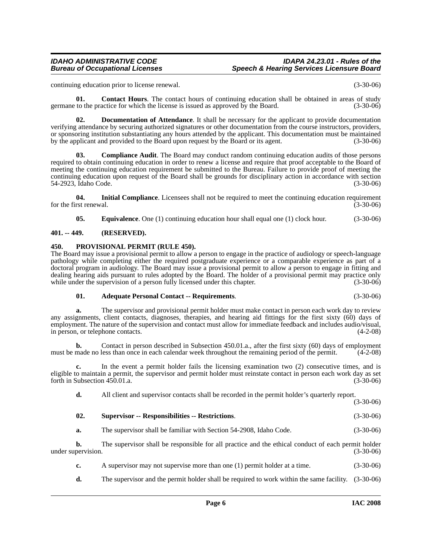#### *IDAHO ADMINISTRATIVE CODE IDAPA 24.23.01 - Rules of the* **Speech & Hearing Services Licensure Board**

<span id="page-5-4"></span>continuing education prior to license renewal. (3-30-06)

**01.** Contact Hours. The contact hours of continuing education shall be obtained in areas of study germane to the practice for which the license is issued as approved by the Board. (3-30-06)

<span id="page-5-5"></span>**02. Documentation of Attendance**. It shall be necessary for the applicant to provide documentation verifying attendance by securing authorized signatures or other documentation from the course instructors, providers, or sponsoring institution substantiating any hours attended by the applicant. This documentation must be maintained by the applicant and provided to the Board upon request by the Board or its agent. (3-30-06)

<span id="page-5-3"></span>**03. Compliance Audit**. The Board may conduct random continuing education audits of those persons required to obtain continuing education in order to renew a license and require that proof acceptable to the Board of meeting the continuing education requirement be submitted to the Bureau. Failure to provide proof of meeting the continuing education upon request of the Board shall be grounds for disciplinary action in accordance with section 54-2923, Idaho Code. (3-30-06)

**04. Initial Compliance**. Licensees shall not be required to meet the continuing education requirement for the first renewal. (3-30-06)

<span id="page-5-8"></span><span id="page-5-7"></span><span id="page-5-6"></span>**05. Equivalence**. One (1) continuing education hour shall equal one (1) clock hour. (3-30-06)

#### <span id="page-5-0"></span>**401. -- 449. (RESERVED).**

#### <span id="page-5-1"></span>**450. PROVISIONAL PERMIT (RULE 450).**

The Board may issue a provisional permit to allow a person to engage in the practice of audiology or speech-language pathology while completing either the required postgraduate experience or a comparable experience as part of a doctoral program in audiology. The Board may issue a provisional permit to allow a person to engage in fitting and dealing hearing aids pursuant to rules adopted by the Board. The holder of a provisional permit may practice only while under the supervision of a person fully licensed under this chapter. (3-30-06)

#### <span id="page-5-2"></span>**01. Adequate Personal Contact -- Requirements**. (3-30-06)

**a.** The supervisor and provisional permit holder must make contact in person each work day to review any assignments, client contacts, diagnoses, therapies, and hearing aid fittings for the first sixty (60) days of employment. The nature of the supervision and contact must allow for immediate feedback and includes audio/visual, in person, or telephone contacts. (4-2-08)

**b.** Contact in person described in Subsection 450.01.a., after the first sixty (60) days of employment must be made no less than once in each calendar week throughout the remaining period of the permit. (4-2-08)

**c.** In the event a permit holder fails the licensing examination two (2) consecutive times, and is eligible to maintain a permit, the supervisor and permit holder must reinstate contact in person each work day as set forth in Subsection 450.01.a. (3-30-06)

**d.** All client and supervisor contacts shall be recorded in the permit holder's quarterly report. (3-30-06)

## <span id="page-5-9"></span>**02. Supervisor -- Responsibilities -- Restrictions**. (3-30-06)

**a.** The supervisor shall be familiar with Section 54-2908, Idaho Code. (3-30-06)

**b.** The supervisor shall be responsible for all practice and the ethical conduct of each permit holder under supervision. (3-30-06)

- **c.** A supervisor may not supervise more than one (1) permit holder at a time.  $(3-30-06)$
- **d.** The supervisor and the permit holder shall be required to work within the same facility.  $(3-30-06)$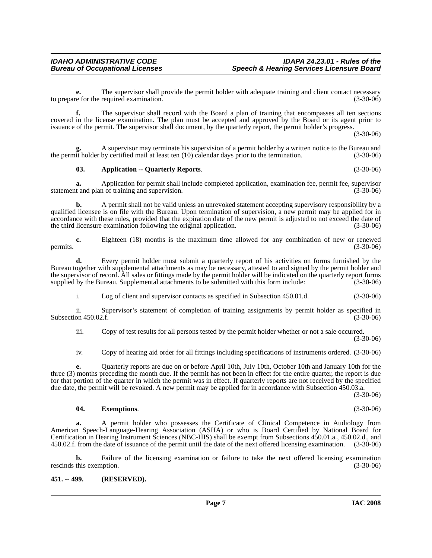**e.** The supervisor shall provide the permit holder with adequate training and client contact necessary to prepare for the required examination. (3-30-06)

**f.** The supervisor shall record with the Board a plan of training that encompasses all ten sections covered in the license examination. The plan must be accepted and approved by the Board or its agent prior to issuance of the permit. The supervisor shall document, by the quarterly report, the permit holder's progress.

(3-30-06)

**g.** A supervisor may terminate his supervision of a permit holder by a written notice to the Bureau and the permit holder by certified mail at least ten (10) calendar days prior to the termination. (3-30-06)

#### <span id="page-6-1"></span>**03. Application -- Quarterly Reports**. (3-30-06)

**a.** Application for permit shall include completed application, examination fee, permit fee, supervisor t and plan of training and supervision. (3-30-06) statement and plan of training and supervision.

**b.** A permit shall not be valid unless an unrevoked statement accepting supervisory responsibility by a qualified licensee is on file with the Bureau. Upon termination of supervision, a new permit may be applied for in accordance with these rules, provided that the expiration date of the new permit is adjusted to not exceed the date of the third licensure examination following the original application. (3-30-06)

**c.** Eighteen (18) months is the maximum time allowed for any combination of new or renewed permits.  $(3-30-06)$ 

**d.** Every permit holder must submit a quarterly report of his activities on forms furnished by the Bureau together with supplemental attachments as may be necessary, attested to and signed by the permit holder and the supervisor of record. All sales or fittings made by the permit holder will be indicated on the quarterly report forms supplied by the Bureau. Supplemental attachments to be submitted with this form include: (3-30-06)

i. Log of client and supervisor contacts as specified in Subsection 450.01.d. (3-30-06)

ii. Supervisor's statement of completion of training assignments by permit holder as specified in Subsection 450.02.f. (3-30-06)

iii. Copy of test results for all persons tested by the permit holder whether or not a sale occurred. (3-30-06)

iv. Copy of hearing aid order for all fittings including specifications of instruments ordered. (3-30-06)

**e.** Quarterly reports are due on or before April 10th, July 10th, October 10th and January 10th for the three (3) months preceding the month due. If the permit has not been in effect for the entire quarter, the report is due for that portion of the quarter in which the permit was in effect. If quarterly reports are not received by the specified due date, the permit will be revoked. A new permit may be applied for in accordance with Subsection 450.03.a.

(3-30-06)

#### <span id="page-6-2"></span>**04. Exemptions**. (3-30-06)

**a.** A permit holder who possesses the Certificate of Clinical Competence in Audiology from American Speech-Language-Hearing Association (ASHA) or who is Board Certified by National Board for Certification in Hearing Instrument Sciences (NBC-HIS) shall be exempt from Subsections 450.01.a., 450.02.d., and 450.02.f. from the date of issuance of the permit until the date of the next offered licensing examination. (3-30-06)

**b.** Failure of the licensing examination or failure to take the next offered licensing examination this exemption. (3-30-06) rescinds this exemption.

#### <span id="page-6-0"></span>**451. -- 499. (RESERVED).**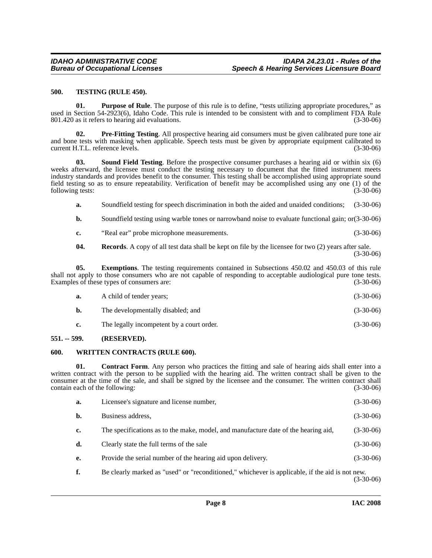#### <span id="page-7-7"></span><span id="page-7-0"></span>**500. TESTING (RULE 450).**

<span id="page-7-5"></span>**01.** Purpose of Rule. The purpose of this rule is to define, "tests utilizing appropriate procedures," as used in Section 54-2923(6), Idaho Code. This rule is intended to be consistent with and to compliment FDA Rule 801.420 as it refers to hearing aid evaluations. (3-30-06)

<span id="page-7-4"></span>**02. Pre-Fitting Testing**. All prospective hearing aid consumers must be given calibrated pure tone air and bone tests with masking when applicable. Speech tests must be given by appropriate equipment calibrated to current H.T.L. reference levels. (3-30-06)

<span id="page-7-6"></span>**03. Sound Field Testing**. Before the prospective consumer purchases a hearing aid or within six (6) weeks afterward, the licensee must conduct the testing necessary to document that the fitted instrument meets industry standards and provides benefit to the consumer. This testing shall be accomplished using appropriate sound field testing so as to ensure repeatability. Verification of benefit may be accomplished using any one (1) of the following tests: (3-30-06)

**a.** Soundfield testing for speech discrimination in both the aided and unaided conditions; (3-30-06)

**b.** Soundfield testing using warble tones or narrowband noise to evaluate functional gain; or(3-30-06)

**c.** "Real ear" probe microphone measurements. (3-30-06)

**04.** Records. A copy of all test data shall be kept on file by the licensee for two (2) years after sale. (3-30-06)

**05. Exemptions**. The testing requirements contained in Subsections 450.02 and 450.03 of this rule shall not apply to those consumers who are not capable of responding to acceptable audiological pure tone tests. Examples of these types of consumers are: (3-30-06)

| а. | A child of tender years;                  | $(3-30-06)$ |
|----|-------------------------------------------|-------------|
| b. | The developmentally disabled; and         | $(3-30-06)$ |
| c. | The legally incompetent by a court order. | $(3-30-06)$ |

#### <span id="page-7-1"></span>**551. -- 599. (RESERVED).**

#### <span id="page-7-8"></span><span id="page-7-2"></span>**600. WRITTEN CONTRACTS (RULE 600).**

**01. Contract Form**. Any person who practices the fitting and sale of hearing aids shall enter into a written contract with the person to be supplied with the hearing aid. The written contract shall be given to the consumer at the time of the sale, and shall be signed by the licensee and the consumer. The written contract shall contain each of the following: (3-30-06)

<span id="page-7-3"></span>

| а. | Licensee's signature and license number,                                                        | $(3-30-06)$ |
|----|-------------------------------------------------------------------------------------------------|-------------|
| b. | Business address,                                                                               | $(3-30-06)$ |
| c. | The specifications as to the make, model, and manufacture date of the hearing aid,              | $(3-30-06)$ |
| d. | Clearly state the full terms of the sale                                                        | $(3-30-06)$ |
| е. | Provide the serial number of the hearing aid upon delivery.                                     | $(3-30-06)$ |
|    | Be clearly marked as "used" or "reconditioned," whichever is applicable, if the aid is not new. |             |

(3-30-06)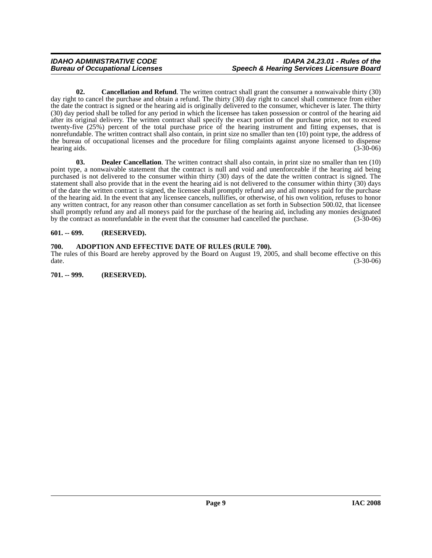<span id="page-8-3"></span>**02. Cancellation and Refund**. The written contract shall grant the consumer a nonwaivable thirty (30) day right to cancel the purchase and obtain a refund. The thirty (30) day right to cancel shall commence from either the date the contract is signed or the hearing aid is originally delivered to the consumer, whichever is later. The thirty (30) day period shall be tolled for any period in which the licensee has taken possession or control of the hearing aid after its original delivery. The written contract shall specify the exact portion of the purchase price, not to exceed twenty-five (25%) percent of the total purchase price of the hearing instrument and fitting expenses, that is nonrefundable. The written contract shall also contain, in print size no smaller than ten (10) point type, the address of the bureau of occupational licenses and the procedure for filing complaints against anyone licensed to dispense<br>(3-30-06) (3-30-06) hearing aids. (3-30-06)

<span id="page-8-4"></span>**03. Dealer Cancellation**. The written contract shall also contain, in print size no smaller than ten (10) point type, a nonwaivable statement that the contract is null and void and unenforceable if the hearing aid being purchased is not delivered to the consumer within thirty (30) days of the date the written contract is signed. The statement shall also provide that in the event the hearing aid is not delivered to the consumer within thirty (30) days of the date the written contract is signed, the licensee shall promptly refund any and all moneys paid for the purchase of the hearing aid. In the event that any licensee cancels, nullifies, or otherwise, of his own volition, refuses to honor any written contract, for any reason other than consumer cancellation as set forth in Subsection 500.02, that licensee shall promptly refund any and all moneys paid for the purchase of the hearing aid, including any monies designated by the contract as nonrefundable in the event that the consumer had cancelled the purchase. (3-30-06)

#### <span id="page-8-0"></span>**601. -- 699. (RESERVED).**

#### <span id="page-8-1"></span>**700. ADOPTION AND EFFECTIVE DATE OF RULES (RULE 700).**

The rules of this Board are hereby approved by the Board on August 19, 2005, and shall become effective on this date. (3-30-06) date. (3-30-06)

<span id="page-8-2"></span>**701. -- 999. (RESERVED).**